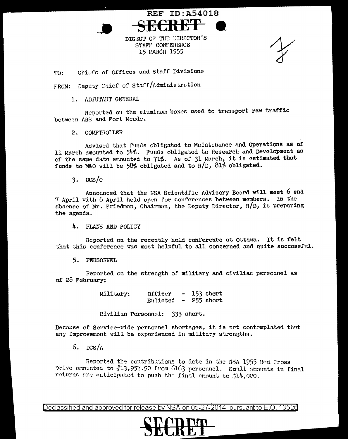DIGEST OF THE DIRECTOR'S STAFF CONFERENCE 15 MARCH 1955

**REF ID: A54018** 

Chiefs of Offices and Staff Divisions TO:

FROM: Deputy Chief of Staff/Administration

1. ADJUTAIT GENERAL

Reported on the sluminum boxes used to transport raw traffic between AHS and Fort Meade.

2. COMPTROLLER

Advised that funds obligated to Maintenance and Operations as of 11 March amounted to 54%. Funds obligated to Research and Development as of the same date amounted to 71%. As of 31 March, it is estimated that funds to M&O will be 58% obligated and to R/D, 81% obligated.

 $3.$  DCS/ $\sigma$ 

Announced that the NSA Scientific Advisory Board will meet 6 and 7 April with 8 April held open for conferences between members. In the absence of Mr. Friedman, Chairman, the Deputy Director,  $R/D$ , is preparing the agenda.

4. PLANS AND POLICY

Reported on the recently held conference at Ottawa. It is felt that this conference was most helpful to all concerned and quite successful.

5. PERSONNEL

Reported on the strength of military and civilian personnel as of 28 February:

> Officer  $-153$  short Military: Enlisted - 255 short

Civilian Personnel: 333 short.

Because of Service-wide personnel shortages, it is not contemplated that any improvement will be experienced in military strengths.

6.  $ncs/\Lambda$ 

Reported the contributions to date in the NSA 1955 And Cross prive amounted to #13.957.90 from 6163 personnel. Small amounts in final returns are anticipated to push the final amount to \$14,000.

Declassified and approved for release by NSA on 05-27-2014 pursuant to E.O. 13526